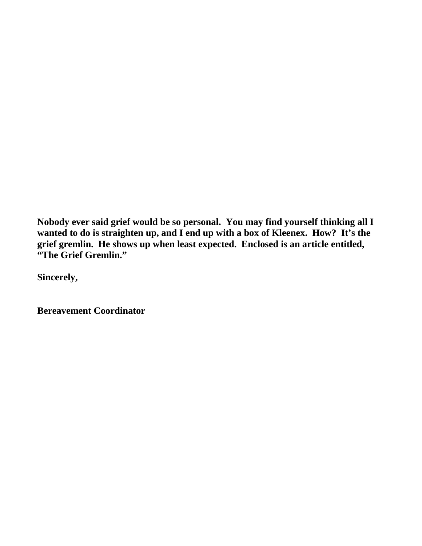**Nobody ever said grief would be so personal. You may find yourself thinking all I wanted to do is straighten up, and I end up with a box of Kleenex. How? It's the grief gremlin. He shows up when least expected. Enclosed is an article entitled, "The Grief Gremlin."** 

**Sincerely,**

**Bereavement Coordinator**